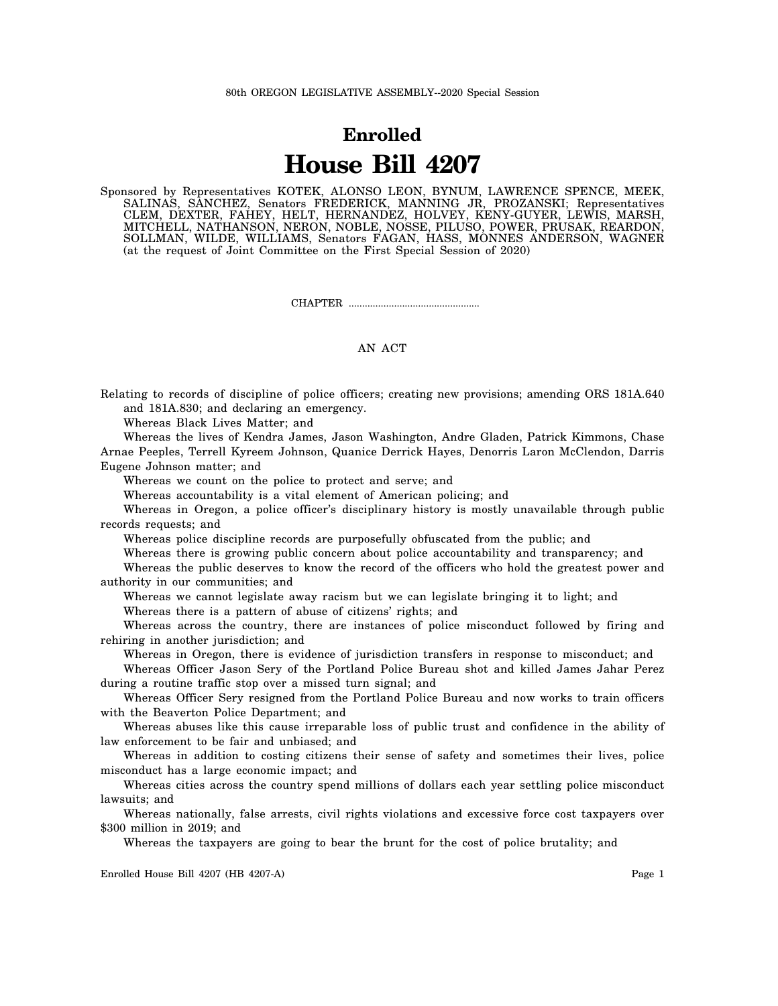## **Enrolled House Bill 4207**

Sponsored by Representatives KOTEK, ALONSO LEON, BYNUM, LAWRENCE SPENCE, MEEK, SALINAS, SANCHEZ, Senators FREDERICK, MANNING JR, PROZANSKI; Representatives CLEM, DEXTER, FAHEY, HELT, HERNANDEZ, HOLVEY, KENY-GUYER, LEWIS, MARSH, MITCHELL, NATHANSON, NERON, NOBLE, NOSSE, PILUSO, POWER, PRUSAK, REARDON, SOLLMAN, WILDE, WILLIAMS, Senators FAGAN, HASS, MONNES ANDERSON, WAGNER (at the request of Joint Committee on the First Special Session of 2020)

CHAPTER .................................................

## AN ACT

Relating to records of discipline of police officers; creating new provisions; amending ORS 181A.640 and 181A.830; and declaring an emergency.

Whereas Black Lives Matter; and

Whereas the lives of Kendra James, Jason Washington, Andre Gladen, Patrick Kimmons, Chase Arnae Peeples, Terrell Kyreem Johnson, Quanice Derrick Hayes, Denorris Laron McClendon, Darris Eugene Johnson matter; and

Whereas we count on the police to protect and serve; and

Whereas accountability is a vital element of American policing; and

Whereas in Oregon, a police officer's disciplinary history is mostly unavailable through public records requests; and

Whereas police discipline records are purposefully obfuscated from the public; and

Whereas there is growing public concern about police accountability and transparency; and

Whereas the public deserves to know the record of the officers who hold the greatest power and authority in our communities; and

Whereas we cannot legislate away racism but we can legislate bringing it to light; and

Whereas there is a pattern of abuse of citizens' rights; and

Whereas across the country, there are instances of police misconduct followed by firing and rehiring in another jurisdiction; and

Whereas in Oregon, there is evidence of jurisdiction transfers in response to misconduct; and

Whereas Officer Jason Sery of the Portland Police Bureau shot and killed James Jahar Perez during a routine traffic stop over a missed turn signal; and

Whereas Officer Sery resigned from the Portland Police Bureau and now works to train officers with the Beaverton Police Department; and

Whereas abuses like this cause irreparable loss of public trust and confidence in the ability of law enforcement to be fair and unbiased; and

Whereas in addition to costing citizens their sense of safety and sometimes their lives, police misconduct has a large economic impact; and

Whereas cities across the country spend millions of dollars each year settling police misconduct lawsuits; and

Whereas nationally, false arrests, civil rights violations and excessive force cost taxpayers over \$300 million in 2019; and

Whereas the taxpayers are going to bear the brunt for the cost of police brutality; and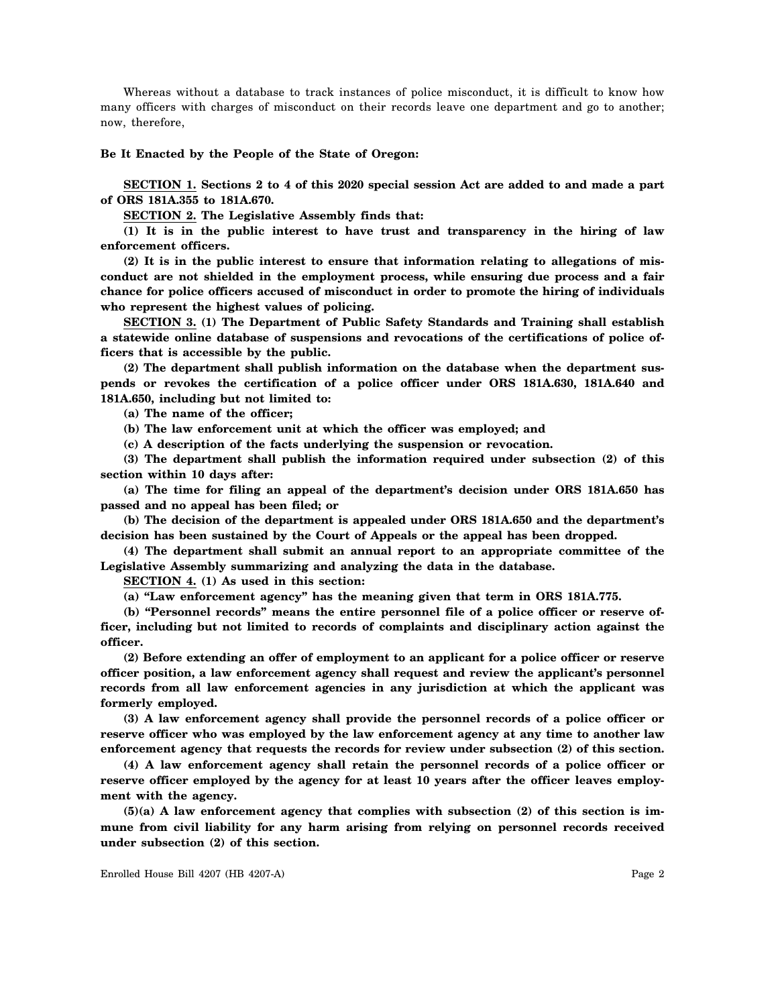Whereas without a database to track instances of police misconduct, it is difficult to know how many officers with charges of misconduct on their records leave one department and go to another; now, therefore,

## **Be It Enacted by the People of the State of Oregon:**

**SECTION 1. Sections 2 to 4 of this 2020 special session Act are added to and made a part of ORS 181A.355 to 181A.670.**

**SECTION 2. The Legislative Assembly finds that:**

**(1) It is in the public interest to have trust and transparency in the hiring of law enforcement officers.**

**(2) It is in the public interest to ensure that information relating to allegations of misconduct are not shielded in the employment process, while ensuring due process and a fair chance for police officers accused of misconduct in order to promote the hiring of individuals who represent the highest values of policing.**

**SECTION 3. (1) The Department of Public Safety Standards and Training shall establish a statewide online database of suspensions and revocations of the certifications of police officers that is accessible by the public.**

**(2) The department shall publish information on the database when the department suspends or revokes the certification of a police officer under ORS 181A.630, 181A.640 and 181A.650, including but not limited to:**

**(a) The name of the officer;**

**(b) The law enforcement unit at which the officer was employed; and**

**(c) A description of the facts underlying the suspension or revocation.**

**(3) The department shall publish the information required under subsection (2) of this section within 10 days after:**

**(a) The time for filing an appeal of the department's decision under ORS 181A.650 has passed and no appeal has been filed; or**

**(b) The decision of the department is appealed under ORS 181A.650 and the department's decision has been sustained by the Court of Appeals or the appeal has been dropped.**

**(4) The department shall submit an annual report to an appropriate committee of the Legislative Assembly summarizing and analyzing the data in the database.**

**SECTION 4. (1) As used in this section:**

**(a) "Law enforcement agency" has the meaning given that term in ORS 181A.775.**

**(b) "Personnel records" means the entire personnel file of a police officer or reserve officer, including but not limited to records of complaints and disciplinary action against the officer.**

**(2) Before extending an offer of employment to an applicant for a police officer or reserve officer position, a law enforcement agency shall request and review the applicant's personnel records from all law enforcement agencies in any jurisdiction at which the applicant was formerly employed.**

**(3) A law enforcement agency shall provide the personnel records of a police officer or reserve officer who was employed by the law enforcement agency at any time to another law enforcement agency that requests the records for review under subsection (2) of this section.**

**(4) A law enforcement agency shall retain the personnel records of a police officer or reserve officer employed by the agency for at least 10 years after the officer leaves employment with the agency.**

**(5)(a) A law enforcement agency that complies with subsection (2) of this section is immune from civil liability for any harm arising from relying on personnel records received under subsection (2) of this section.**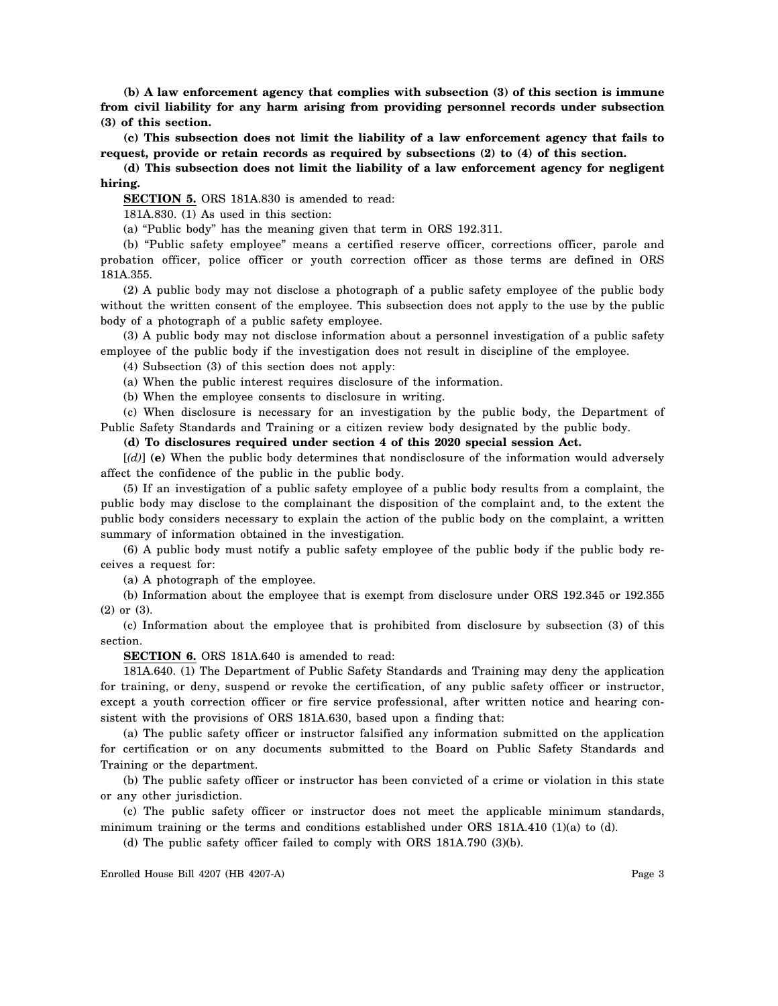**(b) A law enforcement agency that complies with subsection (3) of this section is immune from civil liability for any harm arising from providing personnel records under subsection (3) of this section.**

**(c) This subsection does not limit the liability of a law enforcement agency that fails to request, provide or retain records as required by subsections (2) to (4) of this section.**

**(d) This subsection does not limit the liability of a law enforcement agency for negligent hiring.**

**SECTION 5.** ORS 181A.830 is amended to read:

181A.830. (1) As used in this section:

(a) "Public body" has the meaning given that term in ORS 192.311.

(b) "Public safety employee" means a certified reserve officer, corrections officer, parole and probation officer, police officer or youth correction officer as those terms are defined in ORS 181A.355.

(2) A public body may not disclose a photograph of a public safety employee of the public body without the written consent of the employee. This subsection does not apply to the use by the public body of a photograph of a public safety employee.

(3) A public body may not disclose information about a personnel investigation of a public safety employee of the public body if the investigation does not result in discipline of the employee.

(4) Subsection (3) of this section does not apply:

(a) When the public interest requires disclosure of the information.

(b) When the employee consents to disclosure in writing.

(c) When disclosure is necessary for an investigation by the public body, the Department of Public Safety Standards and Training or a citizen review body designated by the public body.

**(d) To disclosures required under section 4 of this 2020 special session Act.**

[*(d)*] **(e)** When the public body determines that nondisclosure of the information would adversely affect the confidence of the public in the public body.

(5) If an investigation of a public safety employee of a public body results from a complaint, the public body may disclose to the complainant the disposition of the complaint and, to the extent the public body considers necessary to explain the action of the public body on the complaint, a written summary of information obtained in the investigation.

(6) A public body must notify a public safety employee of the public body if the public body receives a request for:

(a) A photograph of the employee.

(b) Information about the employee that is exempt from disclosure under ORS 192.345 or 192.355 (2) or (3).

(c) Information about the employee that is prohibited from disclosure by subsection (3) of this section.

**SECTION 6.** ORS 181A.640 is amended to read:

181A.640. (1) The Department of Public Safety Standards and Training may deny the application for training, or deny, suspend or revoke the certification, of any public safety officer or instructor, except a youth correction officer or fire service professional, after written notice and hearing consistent with the provisions of ORS 181A.630, based upon a finding that:

(a) The public safety officer or instructor falsified any information submitted on the application for certification or on any documents submitted to the Board on Public Safety Standards and Training or the department.

(b) The public safety officer or instructor has been convicted of a crime or violation in this state or any other jurisdiction.

(c) The public safety officer or instructor does not meet the applicable minimum standards, minimum training or the terms and conditions established under ORS 181A.410 (1)(a) to (d).

(d) The public safety officer failed to comply with ORS 181A.790 (3)(b).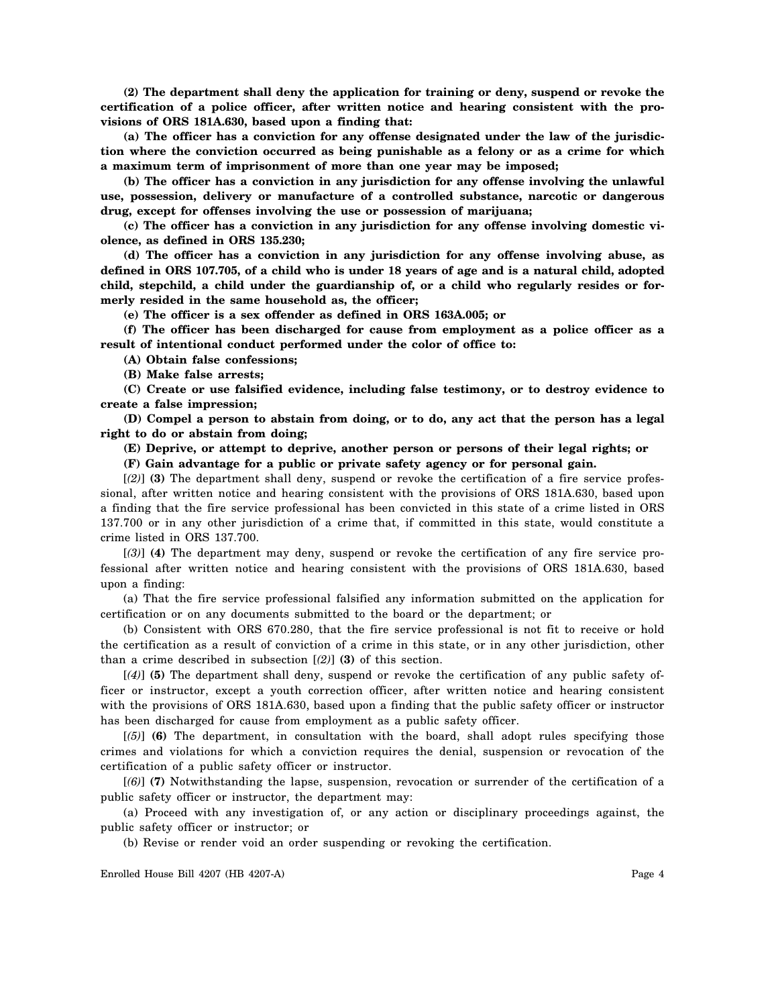**(2) The department shall deny the application for training or deny, suspend or revoke the certification of a police officer, after written notice and hearing consistent with the provisions of ORS 181A.630, based upon a finding that:**

**(a) The officer has a conviction for any offense designated under the law of the jurisdiction where the conviction occurred as being punishable as a felony or as a crime for which a maximum term of imprisonment of more than one year may be imposed;**

**(b) The officer has a conviction in any jurisdiction for any offense involving the unlawful use, possession, delivery or manufacture of a controlled substance, narcotic or dangerous drug, except for offenses involving the use or possession of marijuana;**

**(c) The officer has a conviction in any jurisdiction for any offense involving domestic violence, as defined in ORS 135.230;**

**(d) The officer has a conviction in any jurisdiction for any offense involving abuse, as defined in ORS 107.705, of a child who is under 18 years of age and is a natural child, adopted child, stepchild, a child under the guardianship of, or a child who regularly resides or formerly resided in the same household as, the officer;**

**(e) The officer is a sex offender as defined in ORS 163A.005; or**

**(f) The officer has been discharged for cause from employment as a police officer as a result of intentional conduct performed under the color of office to:**

**(A) Obtain false confessions;**

**(B) Make false arrests;**

**(C) Create or use falsified evidence, including false testimony, or to destroy evidence to create a false impression;**

**(D) Compel a person to abstain from doing, or to do, any act that the person has a legal right to do or abstain from doing;**

**(E) Deprive, or attempt to deprive, another person or persons of their legal rights; or**

**(F) Gain advantage for a public or private safety agency or for personal gain.**

[*(2)*] **(3)** The department shall deny, suspend or revoke the certification of a fire service professional, after written notice and hearing consistent with the provisions of ORS 181A.630, based upon a finding that the fire service professional has been convicted in this state of a crime listed in ORS 137.700 or in any other jurisdiction of a crime that, if committed in this state, would constitute a crime listed in ORS 137.700.

[*(3)*] **(4)** The department may deny, suspend or revoke the certification of any fire service professional after written notice and hearing consistent with the provisions of ORS 181A.630, based upon a finding:

(a) That the fire service professional falsified any information submitted on the application for certification or on any documents submitted to the board or the department; or

(b) Consistent with ORS 670.280, that the fire service professional is not fit to receive or hold the certification as a result of conviction of a crime in this state, or in any other jurisdiction, other than a crime described in subsection [*(2)*] **(3)** of this section.

[*(4)*] **(5)** The department shall deny, suspend or revoke the certification of any public safety officer or instructor, except a youth correction officer, after written notice and hearing consistent with the provisions of ORS 181A.630, based upon a finding that the public safety officer or instructor has been discharged for cause from employment as a public safety officer.

[*(5)*] **(6)** The department, in consultation with the board, shall adopt rules specifying those crimes and violations for which a conviction requires the denial, suspension or revocation of the certification of a public safety officer or instructor.

[*(6)*] **(7)** Notwithstanding the lapse, suspension, revocation or surrender of the certification of a public safety officer or instructor, the department may:

(a) Proceed with any investigation of, or any action or disciplinary proceedings against, the public safety officer or instructor; or

(b) Revise or render void an order suspending or revoking the certification.